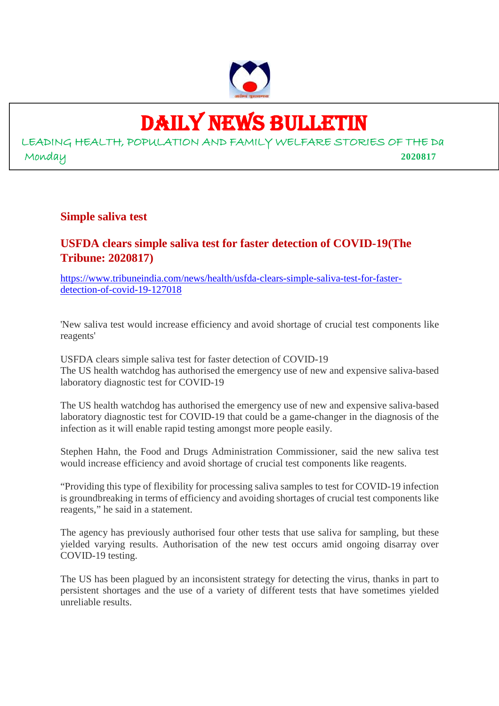

# DAILY NEWS BULLETIN

LEADING HEALTH, POPULATION AND FAMILY WELFARE STORIES OF THE Da Monday **2020817**

# **Simple saliva test**

# **USFDA clears simple saliva test for faster detection of COVID-19(The Tribune: 2020817)**

https://www.tribuneindia.com/news/health/usfda-clears-simple-saliva-test-for-fasterdetection-of-covid-19-127018

'New saliva test would increase efficiency and avoid shortage of crucial test components like reagents'

USFDA clears simple saliva test for faster detection of COVID-19 The US health watchdog has authorised the emergency use of new and expensive saliva-based laboratory diagnostic test for COVID-19

The US health watchdog has authorised the emergency use of new and expensive saliva-based laboratory diagnostic test for COVID-19 that could be a game-changer in the diagnosis of the infection as it will enable rapid testing amongst more people easily.

Stephen Hahn, the Food and Drugs Administration Commissioner, said the new saliva test would increase efficiency and avoid shortage of crucial test components like reagents.

"Providing this type of flexibility for processing saliva samples to test for COVID-19 infection is groundbreaking in terms of efficiency and avoiding shortages of crucial test components like reagents," he said in a statement.

The agency has previously authorised four other tests that use saliva for sampling, but these yielded varying results. Authorisation of the new test occurs amid ongoing disarray over COVID-19 testing.

The US has been plagued by an inconsistent strategy for detecting the virus, thanks in part to persistent shortages and the use of a variety of different tests that have sometimes yielded unreliable results.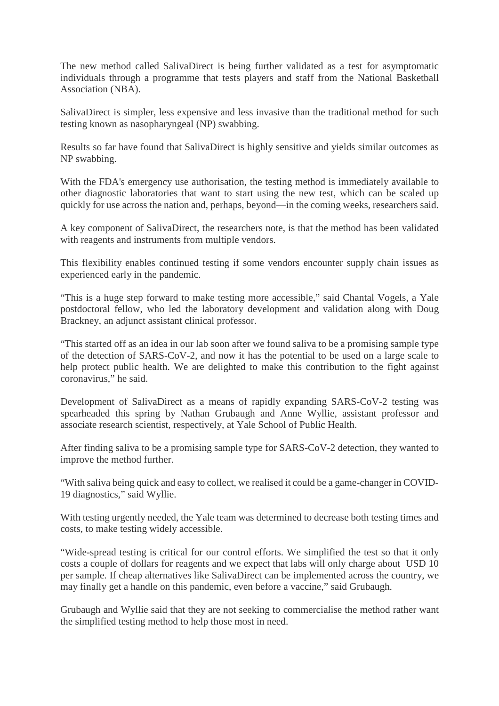The new method called SalivaDirect is being further validated as a test for asymptomatic individuals through a programme that tests players and staff from the National Basketball Association (NBA).

SalivaDirect is simpler, less expensive and less invasive than the traditional method for such testing known as nasopharyngeal (NP) swabbing.

Results so far have found that SalivaDirect is highly sensitive and yields similar outcomes as NP swabbing.

With the FDA's emergency use authorisation, the testing method is immediately available to other diagnostic laboratories that want to start using the new test, which can be scaled up quickly for use across the nation and, perhaps, beyond—in the coming weeks, researchers said.

A key component of SalivaDirect, the researchers note, is that the method has been validated with reagents and instruments from multiple vendors.

This flexibility enables continued testing if some vendors encounter supply chain issues as experienced early in the pandemic.

"This is a huge step forward to make testing more accessible," said Chantal Vogels, a Yale postdoctoral fellow, who led the laboratory development and validation along with Doug Brackney, an adjunct assistant clinical professor.

"This started off as an idea in our lab soon after we found saliva to be a promising sample type of the detection of SARS-CoV-2, and now it has the potential to be used on a large scale to help protect public health. We are delighted to make this contribution to the fight against coronavirus," he said.

Development of SalivaDirect as a means of rapidly expanding SARS-CoV-2 testing was spearheaded this spring by Nathan Grubaugh and Anne Wyllie, assistant professor and associate research scientist, respectively, at Yale School of Public Health.

After finding saliva to be a promising sample type for SARS-CoV-2 detection, they wanted to improve the method further.

"With saliva being quick and easy to collect, we realised it could be a game-changer in COVID-19 diagnostics," said Wyllie.

With testing urgently needed, the Yale team was determined to decrease both testing times and costs, to make testing widely accessible.

"Wide-spread testing is critical for our control efforts. We simplified the test so that it only costs a couple of dollars for reagents and we expect that labs will only charge about USD 10 per sample. If cheap alternatives like SalivaDirect can be implemented across the country, we may finally get a handle on this pandemic, even before a vaccine," said Grubaugh.

Grubaugh and Wyllie said that they are not seeking to commercialise the method rather want the simplified testing method to help those most in need.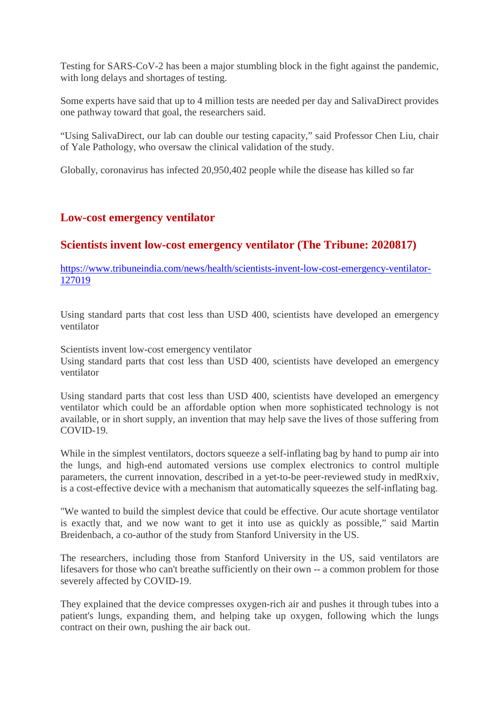Testing for SARS-CoV-2 has been a major stumbling block in the fight against the pandemic, with long delays and shortages of testing.

Some experts have said that up to 4 million tests are needed per day and SalivaDirect provides one pathway toward that goal, the researchers said.

"Using SalivaDirect, our lab can double our testing capacity," said Professor Chen Liu, chair of Yale Pathology, who oversaw the clinical validation of the study.

Globally, coronavirus has infected 20,950,402 people while the disease has killed so far

# **Low-cost emergency ventilator**

# **Scientists invent low-cost emergency ventilator (The Tribune: 2020817)**

https://www.tribuneindia.com/news/health/scientists-invent-low-cost-emergency-ventilator-127019

Using standard parts that cost less than USD 400, scientists have developed an emergency ventilator

Scientists invent low-cost emergency ventilator

Using standard parts that cost less than USD 400, scientists have developed an emergency ventilator

Using standard parts that cost less than USD 400, scientists have developed an emergency ventilator which could be an affordable option when more sophisticated technology is not available, or in short supply, an invention that may help save the lives of those suffering from COVID-19.

While in the simplest ventilators, doctors squeeze a self-inflating bag by hand to pump air into the lungs, and high-end automated versions use complex electronics to control multiple parameters, the current innovation, described in a yet-to-be peer-reviewed study in medRxiv, is a cost-effective device with a mechanism that automatically squeezes the self-inflating bag.

"We wanted to build the simplest device that could be effective. Our acute shortage ventilator is exactly that, and we now want to get it into use as quickly as possible," said Martin Breidenbach, a co-author of the study from Stanford University in the US.

The researchers, including those from Stanford University in the US, said ventilators are lifesavers for those who can't breathe sufficiently on their own -- a common problem for those severely affected by COVID-19.

They explained that the device compresses oxygen-rich air and pushes it through tubes into a patient's lungs, expanding them, and helping take up oxygen, following which the lungs contract on their own, pushing the air back out.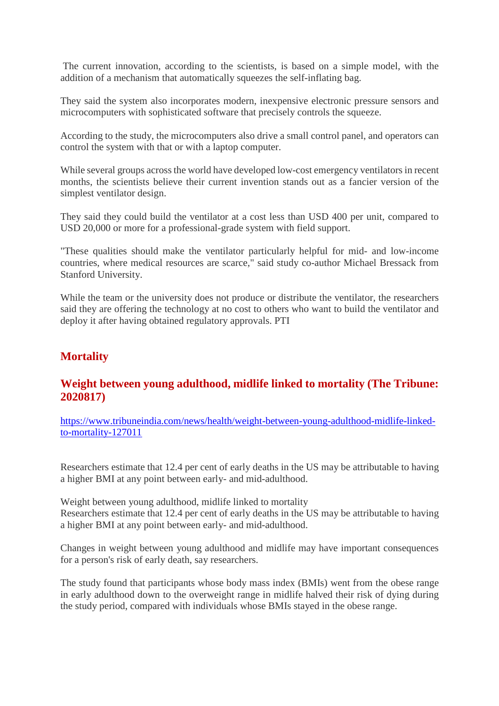The current innovation, according to the scientists, is based on a simple model, with the addition of a mechanism that automatically squeezes the self-inflating bag.

They said the system also incorporates modern, inexpensive electronic pressure sensors and microcomputers with sophisticated software that precisely controls the squeeze.

According to the study, the microcomputers also drive a small control panel, and operators can control the system with that or with a laptop computer.

While several groups across the world have developed low-cost emergency ventilators in recent months, the scientists believe their current invention stands out as a fancier version of the simplest ventilator design.

They said they could build the ventilator at a cost less than USD 400 per unit, compared to USD 20,000 or more for a professional-grade system with field support.

"These qualities should make the ventilator particularly helpful for mid- and low-income countries, where medical resources are scarce," said study co-author Michael Bressack from Stanford University.

While the team or the university does not produce or distribute the ventilator, the researchers said they are offering the technology at no cost to others who want to build the ventilator and deploy it after having obtained regulatory approvals. PTI

# **Mortality**

# **Weight between young adulthood, midlife linked to mortality (The Tribune: 2020817)**

https://www.tribuneindia.com/news/health/weight-between-young-adulthood-midlife-linkedto-mortality-127011

Researchers estimate that 12.4 per cent of early deaths in the US may be attributable to having a higher BMI at any point between early- and mid-adulthood.

Weight between young adulthood, midlife linked to mortality Researchers estimate that 12.4 per cent of early deaths in the US may be attributable to having a higher BMI at any point between early- and mid-adulthood.

Changes in weight between young adulthood and midlife may have important consequences for a person's risk of early death, say researchers.

The study found that participants whose body mass index (BMIs) went from the obese range in early adulthood down to the overweight range in midlife halved their risk of dying during the study period, compared with individuals whose BMIs stayed in the obese range.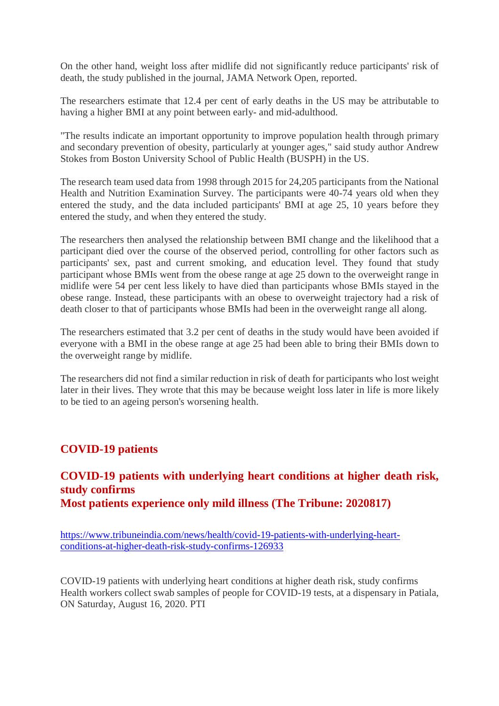On the other hand, weight loss after midlife did not significantly reduce participants' risk of death, the study published in the journal, JAMA Network Open, reported.

The researchers estimate that 12.4 per cent of early deaths in the US may be attributable to having a higher BMI at any point between early- and mid-adulthood.

"The results indicate an important opportunity to improve population health through primary and secondary prevention of obesity, particularly at younger ages," said study author Andrew Stokes from Boston University School of Public Health (BUSPH) in the US.

The research team used data from 1998 through 2015 for 24,205 participants from the National Health and Nutrition Examination Survey. The participants were 40-74 years old when they entered the study, and the data included participants' BMI at age 25, 10 years before they entered the study, and when they entered the study.

The researchers then analysed the relationship between BMI change and the likelihood that a participant died over the course of the observed period, controlling for other factors such as participants' sex, past and current smoking, and education level. They found that study participant whose BMIs went from the obese range at age 25 down to the overweight range in midlife were 54 per cent less likely to have died than participants whose BMIs stayed in the obese range. Instead, these participants with an obese to overweight trajectory had a risk of death closer to that of participants whose BMIs had been in the overweight range all along.

The researchers estimated that 3.2 per cent of deaths in the study would have been avoided if everyone with a BMI in the obese range at age 25 had been able to bring their BMIs down to the overweight range by midlife.

The researchers did not find a similar reduction in risk of death for participants who lost weight later in their lives. They wrote that this may be because weight loss later in life is more likely to be tied to an ageing person's worsening health.

# **COVID-19 patients**

# **COVID-19 patients with underlying heart conditions at higher death risk, study confirms Most patients experience only mild illness (The Tribune: 2020817)**

https://www.tribuneindia.com/news/health/covid-19-patients-with-underlying-heartconditions-at-higher-death-risk-study-confirms-126933

COVID-19 patients with underlying heart conditions at higher death risk, study confirms Health workers collect swab samples of people for COVID-19 tests, at a dispensary in Patiala, ON Saturday, August 16, 2020. PTI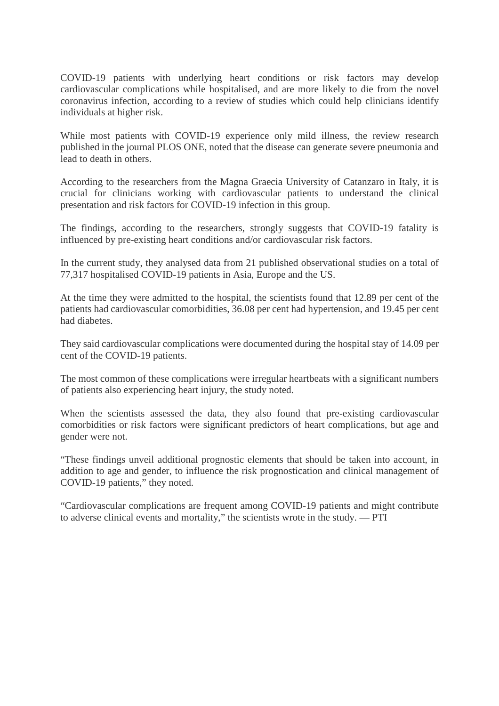COVID-19 patients with underlying heart conditions or risk factors may develop cardiovascular complications while hospitalised, and are more likely to die from the novel coronavirus infection, according to a review of studies which could help clinicians identify individuals at higher risk.

While most patients with COVID-19 experience only mild illness, the review research published in the journal PLOS ONE, noted that the disease can generate severe pneumonia and lead to death in others.

According to the researchers from the Magna Graecia University of Catanzaro in Italy, it is crucial for clinicians working with cardiovascular patients to understand the clinical presentation and risk factors for COVID-19 infection in this group.

The findings, according to the researchers, strongly suggests that COVID-19 fatality is influenced by pre-existing heart conditions and/or cardiovascular risk factors.

In the current study, they analysed data from 21 published observational studies on a total of 77,317 hospitalised COVID-19 patients in Asia, Europe and the US.

At the time they were admitted to the hospital, the scientists found that 12.89 per cent of the patients had cardiovascular comorbidities, 36.08 per cent had hypertension, and 19.45 per cent had diabetes.

They said cardiovascular complications were documented during the hospital stay of 14.09 per cent of the COVID-19 patients.

The most common of these complications were irregular heartbeats with a significant numbers of patients also experiencing heart injury, the study noted.

When the scientists assessed the data, they also found that pre-existing cardiovascular comorbidities or risk factors were significant predictors of heart complications, but age and gender were not.

"These findings unveil additional prognostic elements that should be taken into account, in addition to age and gender, to influence the risk prognostication and clinical management of COVID-19 patients," they noted.

"Cardiovascular complications are frequent among COVID-19 patients and might contribute to adverse clinical events and mortality," the scientists wrote in the study. — PTI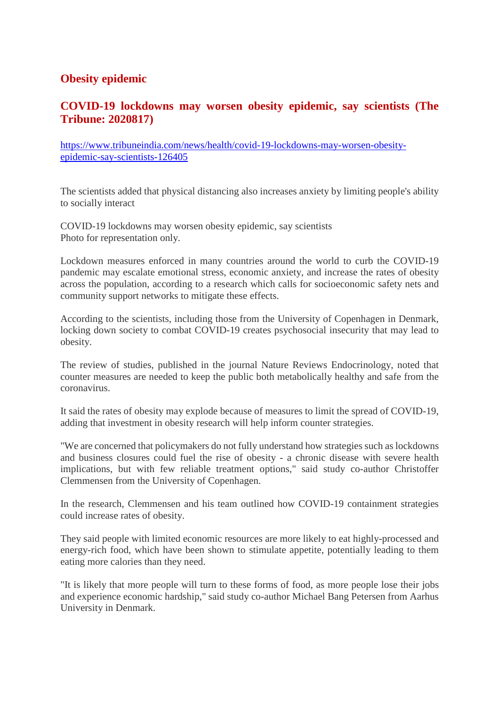# **Obesity epidemic**

# **COVID-19 lockdowns may worsen obesity epidemic, say scientists (The Tribune: 2020817)**

https://www.tribuneindia.com/news/health/covid-19-lockdowns-may-worsen-obesityepidemic-say-scientists-126405

The scientists added that physical distancing also increases anxiety by limiting people's ability to socially interact

COVID-19 lockdowns may worsen obesity epidemic, say scientists Photo for representation only.

Lockdown measures enforced in many countries around the world to curb the COVID-19 pandemic may escalate emotional stress, economic anxiety, and increase the rates of obesity across the population, according to a research which calls for socioeconomic safety nets and community support networks to mitigate these effects.

According to the scientists, including those from the University of Copenhagen in Denmark, locking down society to combat COVID-19 creates psychosocial insecurity that may lead to obesity.

The review of studies, published in the journal Nature Reviews Endocrinology, noted that counter measures are needed to keep the public both metabolically healthy and safe from the coronavirus.

It said the rates of obesity may explode because of measures to limit the spread of COVID-19, adding that investment in obesity research will help inform counter strategies.

"We are concerned that policymakers do not fully understand how strategies such as lockdowns and business closures could fuel the rise of obesity - a chronic disease with severe health implications, but with few reliable treatment options," said study co-author Christoffer Clemmensen from the University of Copenhagen.

In the research, Clemmensen and his team outlined how COVID-19 containment strategies could increase rates of obesity.

They said people with limited economic resources are more likely to eat highly-processed and energy-rich food, which have been shown to stimulate appetite, potentially leading to them eating more calories than they need.

"It is likely that more people will turn to these forms of food, as more people lose their jobs and experience economic hardship," said study co-author Michael Bang Petersen from Aarhus University in Denmark.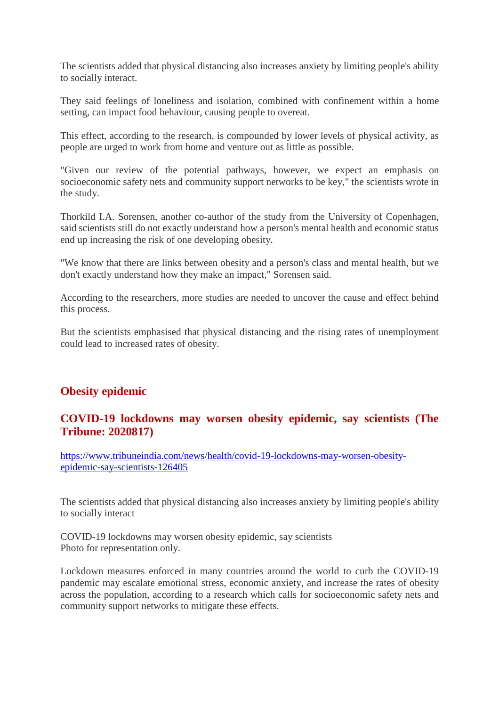The scientists added that physical distancing also increases anxiety by limiting people's ability to socially interact.

They said feelings of loneliness and isolation, combined with confinement within a home setting, can impact food behaviour, causing people to overeat.

This effect, according to the research, is compounded by lower levels of physical activity, as people are urged to work from home and venture out as little as possible.

"Given our review of the potential pathways, however, we expect an emphasis on socioeconomic safety nets and community support networks to be key," the scientists wrote in the study.

Thorkild I.A. Sorensen, another co-author of the study from the University of Copenhagen, said scientists still do not exactly understand how a person's mental health and economic status end up increasing the risk of one developing obesity.

"We know that there are links between obesity and a person's class and mental health, but we don't exactly understand how they make an impact," Sorensen said.

According to the researchers, more studies are needed to uncover the cause and effect behind this process.

But the scientists emphasised that physical distancing and the rising rates of unemployment could lead to increased rates of obesity.

# **Obesity epidemic**

# **COVID-19 lockdowns may worsen obesity epidemic, say scientists (The Tribune: 2020817)**

https://www.tribuneindia.com/news/health/covid-19-lockdowns-may-worsen-obesityepidemic-say-scientists-126405

The scientists added that physical distancing also increases anxiety by limiting people's ability to socially interact

COVID-19 lockdowns may worsen obesity epidemic, say scientists Photo for representation only.

Lockdown measures enforced in many countries around the world to curb the COVID-19 pandemic may escalate emotional stress, economic anxiety, and increase the rates of obesity across the population, according to a research which calls for socioeconomic safety nets and community support networks to mitigate these effects.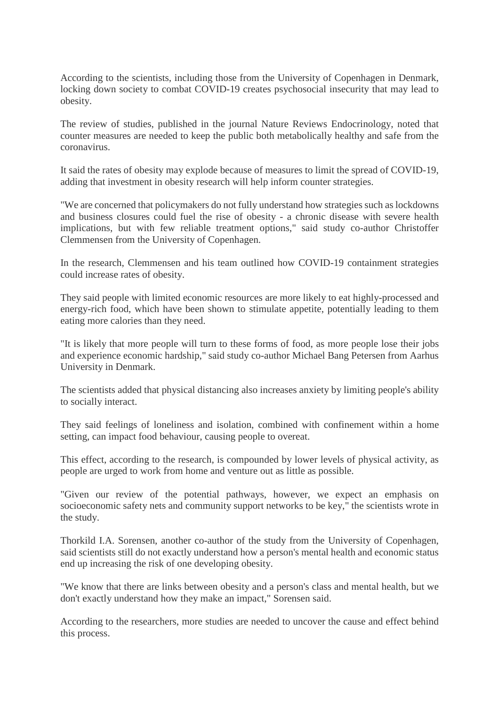According to the scientists, including those from the University of Copenhagen in Denmark, locking down society to combat COVID-19 creates psychosocial insecurity that may lead to obesity.

The review of studies, published in the journal Nature Reviews Endocrinology, noted that counter measures are needed to keep the public both metabolically healthy and safe from the coronavirus.

It said the rates of obesity may explode because of measures to limit the spread of COVID-19, adding that investment in obesity research will help inform counter strategies.

"We are concerned that policymakers do not fully understand how strategies such as lockdowns and business closures could fuel the rise of obesity - a chronic disease with severe health implications, but with few reliable treatment options," said study co-author Christoffer Clemmensen from the University of Copenhagen.

In the research, Clemmensen and his team outlined how COVID-19 containment strategies could increase rates of obesity.

They said people with limited economic resources are more likely to eat highly-processed and energy-rich food, which have been shown to stimulate appetite, potentially leading to them eating more calories than they need.

"It is likely that more people will turn to these forms of food, as more people lose their jobs and experience economic hardship," said study co-author Michael Bang Petersen from Aarhus University in Denmark.

The scientists added that physical distancing also increases anxiety by limiting people's ability to socially interact.

They said feelings of loneliness and isolation, combined with confinement within a home setting, can impact food behaviour, causing people to overeat.

This effect, according to the research, is compounded by lower levels of physical activity, as people are urged to work from home and venture out as little as possible.

"Given our review of the potential pathways, however, we expect an emphasis on socioeconomic safety nets and community support networks to be key," the scientists wrote in the study.

Thorkild I.A. Sorensen, another co-author of the study from the University of Copenhagen, said scientists still do not exactly understand how a person's mental health and economic status end up increasing the risk of one developing obesity.

"We know that there are links between obesity and a person's class and mental health, but we don't exactly understand how they make an impact," Sorensen said.

According to the researchers, more studies are needed to uncover the cause and effect behind this process.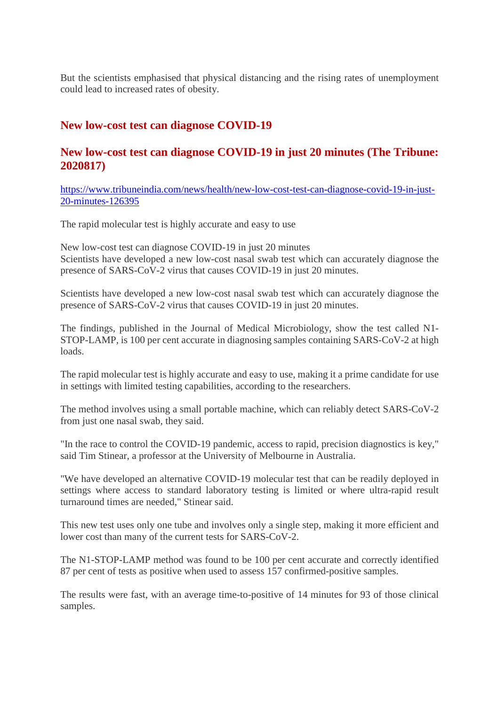But the scientists emphasised that physical distancing and the rising rates of unemployment could lead to increased rates of obesity.

# **New low-cost test can diagnose COVID-19**

# **New low-cost test can diagnose COVID-19 in just 20 minutes (The Tribune: 2020817)**

https://www.tribuneindia.com/news/health/new-low-cost-test-can-diagnose-covid-19-in-just-20-minutes-126395

The rapid molecular test is highly accurate and easy to use

New low-cost test can diagnose COVID-19 in just 20 minutes Scientists have developed a new low-cost nasal swab test which can accurately diagnose the presence of SARS-CoV-2 virus that causes COVID-19 in just 20 minutes.

Scientists have developed a new low-cost nasal swab test which can accurately diagnose the presence of SARS-CoV-2 virus that causes COVID-19 in just 20 minutes.

The findings, published in the Journal of Medical Microbiology, show the test called N1- STOP-LAMP, is 100 per cent accurate in diagnosing samples containing SARS-CoV-2 at high loads.

The rapid molecular test is highly accurate and easy to use, making it a prime candidate for use in settings with limited testing capabilities, according to the researchers.

The method involves using a small portable machine, which can reliably detect SARS-CoV-2 from just one nasal swab, they said.

"In the race to control the COVID-19 pandemic, access to rapid, precision diagnostics is key," said Tim Stinear, a professor at the University of Melbourne in Australia.

"We have developed an alternative COVID-19 molecular test that can be readily deployed in settings where access to standard laboratory testing is limited or where ultra-rapid result turnaround times are needed," Stinear said.

This new test uses only one tube and involves only a single step, making it more efficient and lower cost than many of the current tests for SARS-CoV-2.

The N1-STOP-LAMP method was found to be 100 per cent accurate and correctly identified 87 per cent of tests as positive when used to assess 157 confirmed-positive samples.

The results were fast, with an average time-to-positive of 14 minutes for 93 of those clinical samples.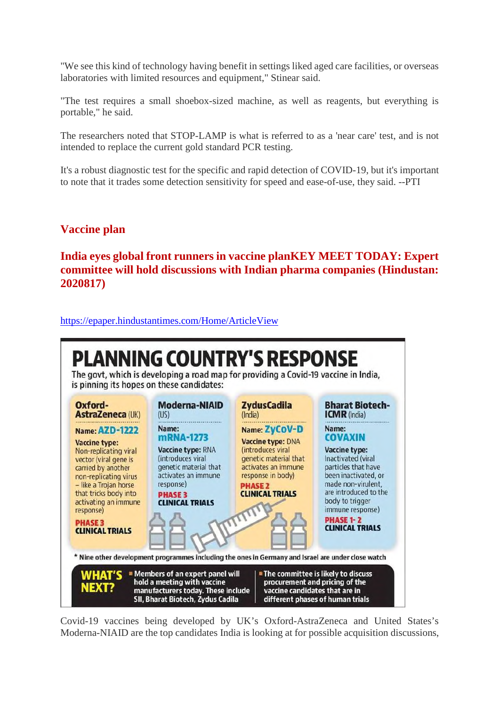"We see this kind of technology having benefit in settings liked aged care facilities, or overseas laboratories with limited resources and equipment," Stinear said.

"The test requires a small shoebox-sized machine, as well as reagents, but everything is portable," he said.

The researchers noted that STOP-LAMP is what is referred to as a 'near care' test, and is not intended to replace the current gold standard PCR testing.

It's a robust diagnostic test for the specific and rapid detection of COVID-19, but it's important to note that it trades some detection sensitivity for speed and ease-of-use, they said. --PTI

# **Vaccine plan**

**India eyes global front runners in vaccine planKEY MEET TODAY: Expert committee will hold discussions with Indian pharma companies (Hindustan: 2020817)**

https://epaper.hindustantimes.com/Home/ArticleView



Covid-19 vaccines being developed by UK's Oxford-AstraZeneca and United States's Moderna-NIAID are the top candidates India is looking at for possible acquisition discussions,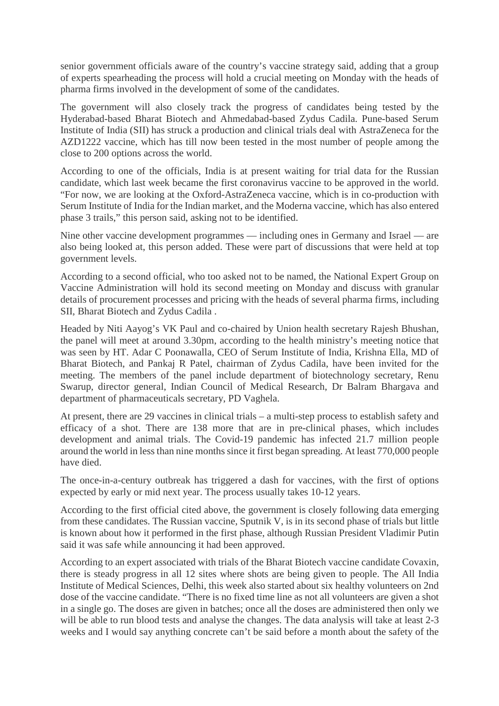senior government officials aware of the country's vaccine strategy said, adding that a group of experts spearheading the process will hold a crucial meeting on Monday with the heads of pharma firms involved in the development of some of the candidates.

The government will also closely track the progress of candidates being tested by the Hyderabad-based Bharat Biotech and Ahmedabad-based Zydus Cadila. Pune-based Serum Institute of India (SII) has struck a production and clinical trials deal with AstraZeneca for the AZD1222 vaccine, which has till now been tested in the most number of people among the close to 200 options across the world.

According to one of the officials, India is at present waiting for trial data for the Russian candidate, which last week became the first coronavirus vaccine to be approved in the world. "For now, we are looking at the Oxford-AstraZeneca vaccine, which is in co-production with Serum Institute of India for the Indian market, and the Moderna vaccine, which has also entered phase 3 trails," this person said, asking not to be identified.

Nine other vaccine development programmes — including ones in Germany and Israel — are also being looked at, this person added. These were part of discussions that were held at top government levels.

According to a second official, who too asked not to be named, the National Expert Group on Vaccine Administration will hold its second meeting on Monday and discuss with granular details of procurement processes and pricing with the heads of several pharma firms, including SII, Bharat Biotech and Zydus Cadila .

Headed by Niti Aayog's VK Paul and co-chaired by Union health secretary Rajesh Bhushan, the panel will meet at around 3.30pm, according to the health ministry's meeting notice that was seen by HT. Adar C Poonawalla, CEO of Serum Institute of India, Krishna Ella, MD of Bharat Biotech, and Pankaj R Patel, chairman of Zydus Cadila, have been invited for the meeting. The members of the panel include department of biotechnology secretary, Renu Swarup, director general, Indian Council of Medical Research, Dr Balram Bhargava and department of pharmaceuticals secretary, PD Vaghela.

At present, there are 29 vaccines in clinical trials – a multi-step process to establish safety and efficacy of a shot. There are 138 more that are in pre-clinical phases, which includes development and animal trials. The Covid-19 pandemic has infected 21.7 million people around the world in less than nine months since it first began spreading. At least 770,000 people have died.

The once-in-a-century outbreak has triggered a dash for vaccines, with the first of options expected by early or mid next year. The process usually takes 10-12 years.

According to the first official cited above, the government is closely following data emerging from these candidates. The Russian vaccine, Sputnik V, is in its second phase of trials but little is known about how it performed in the first phase, although Russian President Vladimir Putin said it was safe while announcing it had been approved.

According to an expert associated with trials of the Bharat Biotech vaccine candidate Covaxin, there is steady progress in all 12 sites where shots are being given to people. The All India Institute of Medical Sciences, Delhi, this week also started about six healthy volunteers on 2nd dose of the vaccine candidate. "There is no fixed time line as not all volunteers are given a shot in a single go. The doses are given in batches; once all the doses are administered then only we will be able to run blood tests and analyse the changes. The data analysis will take at least 2-3 weeks and I would say anything concrete can't be said before a month about the safety of the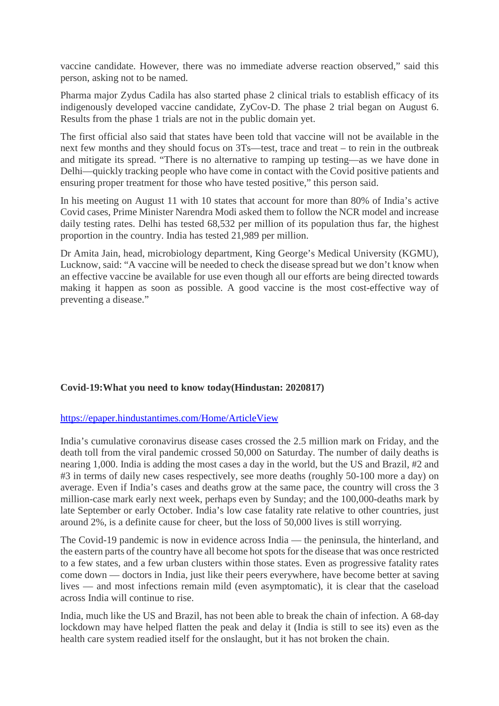vaccine candidate. However, there was no immediate adverse reaction observed," said this person, asking not to be named.

Pharma major Zydus Cadila has also started phase 2 clinical trials to establish efficacy of its indigenously developed vaccine candidate, ZyCov-D. The phase 2 trial began on August 6. Results from the phase 1 trials are not in the public domain yet.

The first official also said that states have been told that vaccine will not be available in the next few months and they should focus on 3Ts—test, trace and treat – to rein in the outbreak and mitigate its spread. "There is no alternative to ramping up testing—as we have done in Delhi—quickly tracking people who have come in contact with the Covid positive patients and ensuring proper treatment for those who have tested positive," this person said.

In his meeting on August 11 with 10 states that account for more than 80% of India's active Covid cases, Prime Minister Narendra Modi asked them to follow the NCR model and increase daily testing rates. Delhi has tested 68,532 per million of its population thus far, the highest proportion in the country. India has tested 21,989 per million.

Dr Amita Jain, head, microbiology department, King George's Medical University (KGMU), Lucknow, said: "A vaccine will be needed to check the disease spread but we don't know when an effective vaccine be available for use even though all our efforts are being directed towards making it happen as soon as possible. A good vaccine is the most cost-effective way of preventing a disease."

#### **Covid-19:What you need to know today(Hindustan: 2020817)**

#### https://epaper.hindustantimes.com/Home/ArticleView

India's cumulative coronavirus disease cases crossed the 2.5 million mark on Friday, and the death toll from the viral pandemic crossed 50,000 on Saturday. The number of daily deaths is nearing 1,000. India is adding the most cases a day in the world, but the US and Brazil, #2 and #3 in terms of daily new cases respectively, see more deaths (roughly 50-100 more a day) on average. Even if India's cases and deaths grow at the same pace, the country will cross the 3 million-case mark early next week, perhaps even by Sunday; and the 100,000-deaths mark by late September or early October. India's low case fatality rate relative to other countries, just around 2%, is a definite cause for cheer, but the loss of 50,000 lives is still worrying.

The Covid-19 pandemic is now in evidence across India — the peninsula, the hinterland, and the eastern parts of the country have all become hot spots for the disease that was once restricted to a few states, and a few urban clusters within those states. Even as progressive fatality rates come down — doctors in India, just like their peers everywhere, have become better at saving lives — and most infections remain mild (even asymptomatic), it is clear that the caseload across India will continue to rise.

India, much like the US and Brazil, has not been able to break the chain of infection. A 68-day lockdown may have helped flatten the peak and delay it (India is still to see its) even as the health care system readied itself for the onslaught, but it has not broken the chain.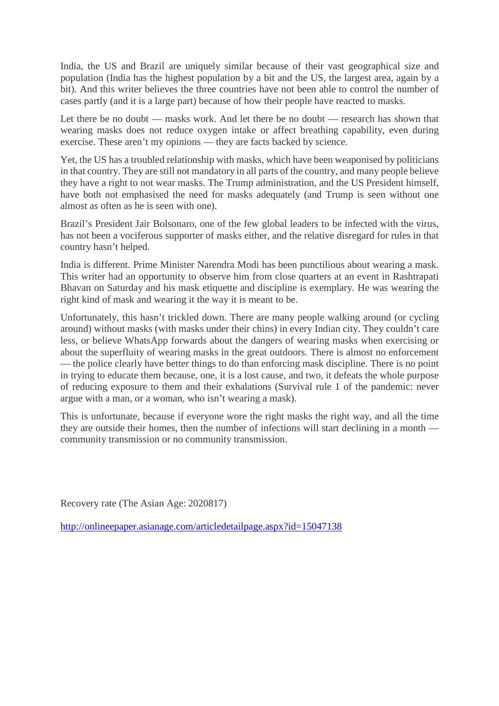India, the US and Brazil are uniquely similar because of their vast geographical size and population (India has the highest population by a bit and the US, the largest area, again by a bit). And this writer believes the three countries have not been able to control the number of cases partly (and it is a large part) because of how their people have reacted to masks.

Let there be no doubt — masks work. And let there be no doubt — research has shown that wearing masks does not reduce oxygen intake or affect breathing capability, even during exercise. These aren't my opinions — they are facts backed by science.

Yet, the US has a troubled relationship with masks, which have been weaponised by politicians in that country. They are still not mandatory in all parts of the country, and many people believe they have a right to not wear masks. The Trump administration, and the US President himself, have both not emphasised the need for masks adequately (and Trump is seen without one almost as often as he is seen with one).

Brazil's President Jair Bolsonaro, one of the few global leaders to be infected with the virus, has not been a vociferous supporter of masks either, and the relative disregard for rules in that country hasn't helped.

India is different. Prime Minister Narendra Modi has been punctilious about wearing a mask. This writer had an opportunity to observe him from close quarters at an event in Rashtrapati Bhavan on Saturday and his mask etiquette and discipline is exemplary. He was wearing the right kind of mask and wearing it the way it is meant to be.

Unfortunately, this hasn't trickled down. There are many people walking around (or cycling around) without masks (with masks under their chins) in every Indian city. They couldn't care less, or believe WhatsApp forwards about the dangers of wearing masks when exercising or about the superfluity of wearing masks in the great outdoors. There is almost no enforcement — the police clearly have better things to do than enforcing mask discipline. There is no point in trying to educate them because, one, it is a lost cause, and two, it defeats the whole purpose of reducing exposure to them and their exhalations (Survival rule 1 of the pandemic: never argue with a man, or a woman, who isn't wearing a mask).

This is unfortunate, because if everyone wore the right masks the right way, and all the time they are outside their homes, then the number of infections will start declining in a month community transmission or no community transmission.

Recovery rate (The Asian Age: 2020817)

http://onlineepaper.asianage.com/articledetailpage.aspx?id=15047138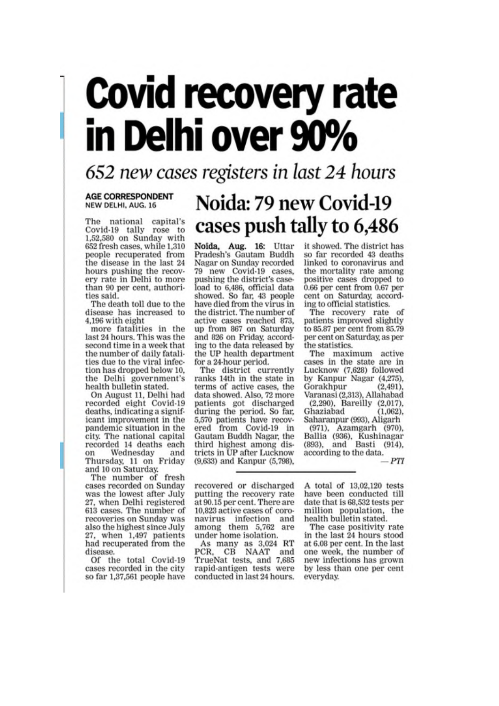# **Covid recovery rate** in Delhi over 90%

652 new cases registers in last 24 hours

#### **AGE CORRESPONDENT** NEW DELHI, AUG. 16

The national capital's Covid-19 tally rose to 1,52,580 on Sunday with 652 fresh cases, while 1,310 people recuperated from the disease in the last 24 hours pushing the recovery rate in Delhi to more than 90 per cent, authorities said.

The death toll due to the disease has increased to 4.196 with eight

more fatalities in the last 24 hours. This was the second time in a week that the number of daily fatalities due to the viral infection has dropped below 10, the Delhi government's health bulletin stated.

On August 11, Delhi had<br>recorded eight Covid-19 deaths, indicating a significant improvement in the pandemic situation in the city. The national capital recorded 14 deaths each Wednesday on and Thursday, 11 on Friday<br>and 10 on Saturday.

The number of fresh cases recorded on Sunday was the lowest after July 27, when Delhi registered 613 cases. The number of recoveries on Sunday was also the highest since July 27, when 1,497 patients<br>had recuperated from the disease.

Of the total Covid-19 cases recorded in the city so far 1,37,561 people have

# Noida: 79 new Covid-19 cases push tally to 6,486

Noida, Aug. 16: Uttar<br>Pradesh's Gautam Buddh Nagar on Sunday recorded 79 new Covid-19 cases, pushing the district's caseload to 6,486, official data showed. So far, 43 people have died from the virus in the district. The number of active cases reached 873,<br>up from 867 on Saturday and 826 on Friday, according to the data released by the UP health department for a 24-hour period.

The district currently ranks 14th in the state in terms of active cases, the data showed. Also, 72 more patients got discharged during the period. So far, 5,570 patients have recovered from Covid-19 in<br>Gautam Buddh Nagar, the third highest among districts in UP after Lucknow (9,633) and Kanpur (5,798).

it showed. The district has so far recorded 43 deaths linked to coronavirus and the mortality rate among positive cases dropped to 0.66 per cent from 0.67 per cent on Saturday, according to official statistics.

The recovery rate of patients improved slightly to 85.87 per cent from 85.79 per cent on Saturday, as per the statistics.

The maximum active<br>cases in the state are in Lucknow (7,628) followed by Kanpur Nagar (4,275),  $(2, 491)$ , Gorakhpur Varanasi (2,313), Allahabad<br>(2,290), Bareilly (2,017),

Ghaziabad  $(1,062)$ . Saharanpur (993), Aligarh (971), Azamgarh (970),<br>Ballia (936), Kushinagar<br>(893), and Basti (914), according to the data.  $-PTI$ 

recovered or discharged putting the recovery rate at 90.15 per cent. There are 10,823 active cases of coronavirus infection and<br>among them 5,762 are under home isolation.

As many as 3,024 RT<br>PCR, CB NAAT and TrueNat tests, and 7,685 rapid-antigen tests were conducted in last 24 hours. A total of 13,02,120 tests have been conducted till date that is 68,532 tests per million population, the health bulletin stated.

The case positivity rate<br>in the last 24 hours stood at 6.08 per cent. In the last one week, the number of new infections has grown by less than one per cent everyday.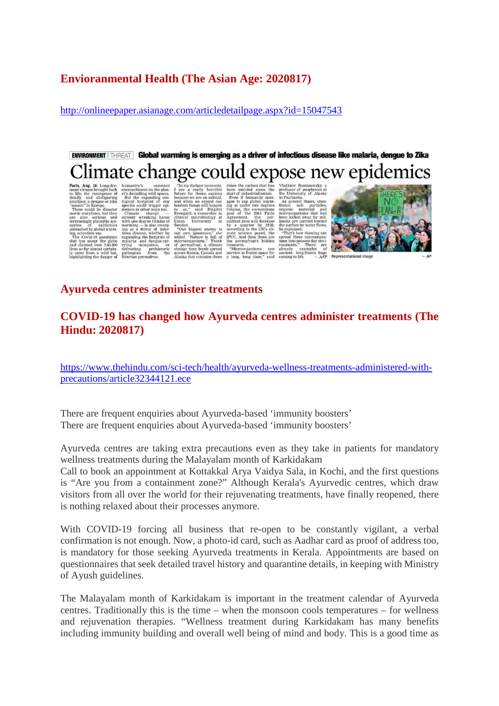# **Envioranmental Health (The Asian Age: 2020817)**

http://onlineepaper.asianage.com/articledetailpage.aspx?id=15047543

ENVIRONMENT THREAT Global warming is emerging as a driver of infectious disease like malaria, dengue to Zika limate change could expose new epidemics

**Paris, Ang. 16:** Long-dor-humanity's constant mant viruses brought book encoronement on the plane density of the resume of each density and disfiguring examples; a dengue or ziks logical footprint of our "season" in Euro ng, scientists say.<br>The Covid-19 pandemic<br>bat has swept the globe<br>and claimed over 7,60,000<br>ives so far almost certaint certain-<br>wild\_bat.

our own<br>added. " expandin<br>malaria-<br>rying<br>defrostin microo and dengue-car-<br>mosquitos, or<br>ug prehistoric<br>is from the prehi<br>from

To my darkest moments,  $\Gamma$  see a resulty horrible future for Homo sapiens because we are an animal, and when we extend our to us, said a Birgitta Evengard, a researcher in Clinical microbiology at Sweeden, Sweeden, times the carbon that has<br>been emitted since the start of industrial<br>start of industrialistic fields with gases to cap global warming<br>ing at under two degrees<br>goal of the 2015 Paris<br>gazement, the performation of the 2015 weden.<br>"Our biggest enemy is<br>ur own ienorance." she

mate science panel, the<br>IPCC. And then there are<br>the permafrost's hidden<br>treasures. manieme da and

Vladimir Romanovsky, a professor of geophysics at the University of Alaska as comparison from Farmond and the University of Alaska and the material and the surface and the surface by the surface by weak the explained by w

"That's how thawing can<br>spread these microorgam-<br>isms into present day environments." There are<br>aready examples of<br>ancient, long-frozen bugs<br>coming to life.  $-AFP$ ancient, long-frozen bugs<br>coming to life. - AFP Representational image

can<br>e for<br>said



# **Ayurveda centres administer treatments**

# **COVID-19 has changed how Ayurveda centres administer treatments (The Hindu: 2020817)**

https://www.thehindu.com/sci-tech/health/ayurveda-wellness-treatments-administered-withprecautions/article32344121.ece

There are frequent enquiries about Ayurveda-based 'immunity boosters' There are frequent enquiries about Ayurveda-based 'immunity boosters'

Ayurveda centres are taking extra precautions even as they take in patients for mandatory wellness treatments during the Malayalam month of Karkidakam

Call to book an appointment at Kottakkal Arya Vaidya Sala, in Kochi, and the first questions is "Are you from a containment zone?" Although Kerala's Ayurvedic centres, which draw visitors from all over the world for their rejuvenating treatments, have finally reopened, there is nothing relaxed about their processes anymore.

With COVID-19 forcing all business that re-open to be constantly vigilant, a verbal confirmation is not enough. Now, a photo-id card, such as Aadhar card as proof of address too, is mandatory for those seeking Ayurveda treatments in Kerala. Appointments are based on questionnaires that seek detailed travel history and quarantine details, in keeping with Ministry of Ayush guidelines.

The Malayalam month of Karkidakam is important in the treatment calendar of Ayurveda centres. Traditionally this is the time – when the monsoon cools temperatures – for wellness and rejuvenation therapies. "Wellness treatment during Karkidakam has many benefits including immunity building and overall well being of mind and body. This is a good time as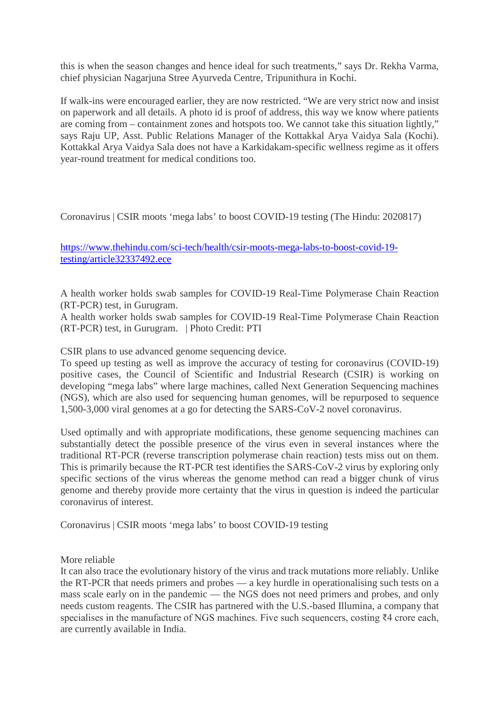this is when the season changes and hence ideal for such treatments," says Dr. Rekha Varma, chief physician Nagarjuna Stree Ayurveda Centre, Tripunithura in Kochi.

If walk-ins were encouraged earlier, they are now restricted. "We are very strict now and insist on paperwork and all details. A photo id is proof of address, this way we know where patients are coming from – containment zones and hotspots too. We cannot take this situation lightly," says Raju UP, Asst. Public Relations Manager of the Kottakkal Arya Vaidya Sala (Kochi). Kottakkal Arya Vaidya Sala does not have a Karkidakam-specific wellness regime as it offers year-round treatment for medical conditions too.

Coronavirus | CSIR moots 'mega labs' to boost COVID-19 testing (The Hindu: 2020817)

https://www.thehindu.com/sci-tech/health/csir-moots-mega-labs-to-boost-covid-19 testing/article32337492.ece

A health worker holds swab samples for COVID-19 Real-Time Polymerase Chain Reaction (RT-PCR) test, in Gurugram.

A health worker holds swab samples for COVID-19 Real-Time Polymerase Chain Reaction (RT-PCR) test, in Gurugram. | Photo Credit: PTI

CSIR plans to use advanced genome sequencing device.

To speed up testing as well as improve the accuracy of testing for coronavirus (COVID-19) positive cases, the Council of Scientific and Industrial Research (CSIR) is working on developing "mega labs" where large machines, called Next Generation Sequencing machines (NGS), which are also used for sequencing human genomes, will be repurposed to sequence 1,500-3,000 viral genomes at a go for detecting the SARS-CoV-2 novel coronavirus.

Used optimally and with appropriate modifications, these genome sequencing machines can substantially detect the possible presence of the virus even in several instances where the traditional RT-PCR (reverse transcription polymerase chain reaction) tests miss out on them. This is primarily because the RT-PCR test identifies the SARS-CoV-2 virus by exploring only specific sections of the virus whereas the genome method can read a bigger chunk of virus genome and thereby provide more certainty that the virus in question is indeed the particular coronavirus of interest.

Coronavirus | CSIR moots 'mega labs' to boost COVID-19 testing

More reliable

It can also trace the evolutionary history of the virus and track mutations more reliably. Unlike the RT-PCR that needs primers and probes — a key hurdle in operationalising such tests on a mass scale early on in the pandemic — the NGS does not need primers and probes, and only needs custom reagents. The CSIR has partnered with the U.S.-based Illumina, a company that specialises in the manufacture of NGS machines. Five such sequencers, costing ₹4 crore each, are currently available in India.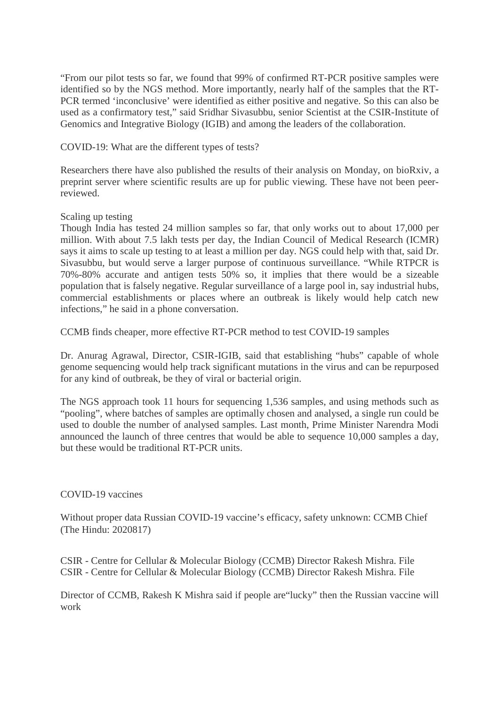"From our pilot tests so far, we found that 99% of confirmed RT-PCR positive samples were identified so by the NGS method. More importantly, nearly half of the samples that the RT-PCR termed 'inconclusive' were identified as either positive and negative. So this can also be used as a confirmatory test," said Sridhar Sivasubbu, senior Scientist at the CSIR-Institute of Genomics and Integrative Biology (IGIB) and among the leaders of the collaboration.

COVID-19: What are the different types of tests?

Researchers there have also published the results of their analysis on Monday, on bioRxiv, a preprint server where scientific results are up for public viewing. These have not been peerreviewed.

Scaling up testing

Though India has tested 24 million samples so far, that only works out to about 17,000 per million. With about 7.5 lakh tests per day, the Indian Council of Medical Research (ICMR) says it aims to scale up testing to at least a million per day. NGS could help with that, said Dr. Sivasubbu, but would serve a larger purpose of continuous surveillance. "While RTPCR is 70%-80% accurate and antigen tests 50% so, it implies that there would be a sizeable population that is falsely negative. Regular surveillance of a large pool in, say industrial hubs, commercial establishments or places where an outbreak is likely would help catch new infections," he said in a phone conversation.

CCMB finds cheaper, more effective RT-PCR method to test COVID-19 samples

Dr. Anurag Agrawal, Director, CSIR-IGIB, said that establishing "hubs" capable of whole genome sequencing would help track significant mutations in the virus and can be repurposed for any kind of outbreak, be they of viral or bacterial origin.

The NGS approach took 11 hours for sequencing 1,536 samples, and using methods such as "pooling", where batches of samples are optimally chosen and analysed, a single run could be used to double the number of analysed samples. Last month, Prime Minister Narendra Modi announced the launch of three centres that would be able to sequence 10,000 samples a day, but these would be traditional RT-PCR units.

COVID-19 vaccines

Without proper data Russian COVID-19 vaccine's efficacy, safety unknown: CCMB Chief (The Hindu: 2020817)

CSIR - Centre for Cellular & Molecular Biology (CCMB) Director Rakesh Mishra. File CSIR - Centre for Cellular & Molecular Biology (CCMB) Director Rakesh Mishra. File

Director of CCMB, Rakesh K Mishra said if people are"lucky" then the Russian vaccine will work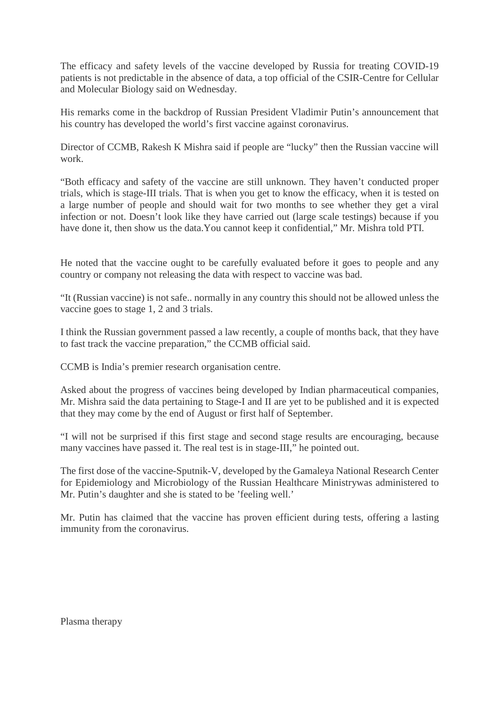The efficacy and safety levels of the vaccine developed by Russia for treating COVID-19 patients is not predictable in the absence of data, a top official of the CSIR-Centre for Cellular and Molecular Biology said on Wednesday.

His remarks come in the backdrop of Russian President Vladimir Putin's announcement that his country has developed the world's first vaccine against coronavirus.

Director of CCMB, Rakesh K Mishra said if people are "lucky" then the Russian vaccine will work.

"Both efficacy and safety of the vaccine are still unknown. They haven't conducted proper trials, which is stage-III trials. That is when you get to know the efficacy, when it is tested on a large number of people and should wait for two months to see whether they get a viral infection or not. Doesn't look like they have carried out (large scale testings) because if you have done it, then show us the data.You cannot keep it confidential," Mr. Mishra told PTI.

He noted that the vaccine ought to be carefully evaluated before it goes to people and any country or company not releasing the data with respect to vaccine was bad.

"It (Russian vaccine) is not safe.. normally in any country this should not be allowed unless the vaccine goes to stage 1, 2 and 3 trials.

I think the Russian government passed a law recently, a couple of months back, that they have to fast track the vaccine preparation," the CCMB official said.

CCMB is India's premier research organisation centre.

Asked about the progress of vaccines being developed by Indian pharmaceutical companies, Mr. Mishra said the data pertaining to Stage-I and II are yet to be published and it is expected that they may come by the end of August or first half of September.

"I will not be surprised if this first stage and second stage results are encouraging, because many vaccines have passed it. The real test is in stage-III," he pointed out.

The first dose of the vaccine-Sputnik-V, developed by the Gamaleya National Research Center for Epidemiology and Microbiology of the Russian Healthcare Ministrywas administered to Mr. Putin's daughter and she is stated to be 'feeling well.'

Mr. Putin has claimed that the vaccine has proven efficient during tests, offering a lasting immunity from the coronavirus.

Plasma therapy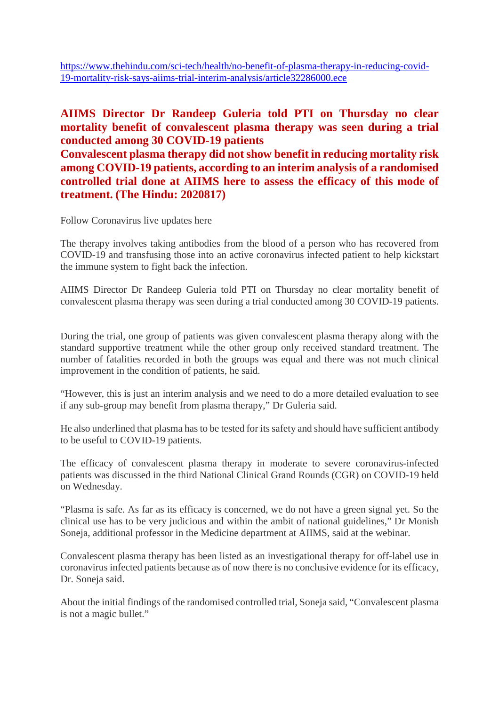https://www.thehindu.com/sci-tech/health/no-benefit-of-plasma-therapy-in-reducing-covid-19-mortality-risk-says-aiims-trial-interim-analysis/article32286000.ece

# **AIIMS Director Dr Randeep Guleria told PTI on Thursday no clear mortality benefit of convalescent plasma therapy was seen during a trial conducted among 30 COVID-19 patients**

**Convalescent plasma therapy did not show benefit in reducing mortality risk among COVID-19 patients, according to an interim analysis of a randomised controlled trial done at AIIMS here to assess the efficacy of this mode of treatment. (The Hindu: 2020817)**

Follow Coronavirus live updates here

The therapy involves taking antibodies from the blood of a person who has recovered from COVID-19 and transfusing those into an active coronavirus infected patient to help kickstart the immune system to fight back the infection.

AIIMS Director Dr Randeep Guleria told PTI on Thursday no clear mortality benefit of convalescent plasma therapy was seen during a trial conducted among 30 COVID-19 patients.

During the trial, one group of patients was given convalescent plasma therapy along with the standard supportive treatment while the other group only received standard treatment. The number of fatalities recorded in both the groups was equal and there was not much clinical improvement in the condition of patients, he said.

"However, this is just an interim analysis and we need to do a more detailed evaluation to see if any sub-group may benefit from plasma therapy," Dr Guleria said.

He also underlined that plasma has to be tested for its safety and should have sufficient antibody to be useful to COVID-19 patients.

The efficacy of convalescent plasma therapy in moderate to severe coronavirus-infected patients was discussed in the third National Clinical Grand Rounds (CGR) on COVID-19 held on Wednesday.

"Plasma is safe. As far as its efficacy is concerned, we do not have a green signal yet. So the clinical use has to be very judicious and within the ambit of national guidelines," Dr Monish Soneja, additional professor in the Medicine department at AIIMS, said at the webinar.

Convalescent plasma therapy has been listed as an investigational therapy for off-label use in coronavirus infected patients because as of now there is no conclusive evidence for its efficacy, Dr. Soneja said.

About the initial findings of the randomised controlled trial, Soneja said, "Convalescent plasma is not a magic bullet."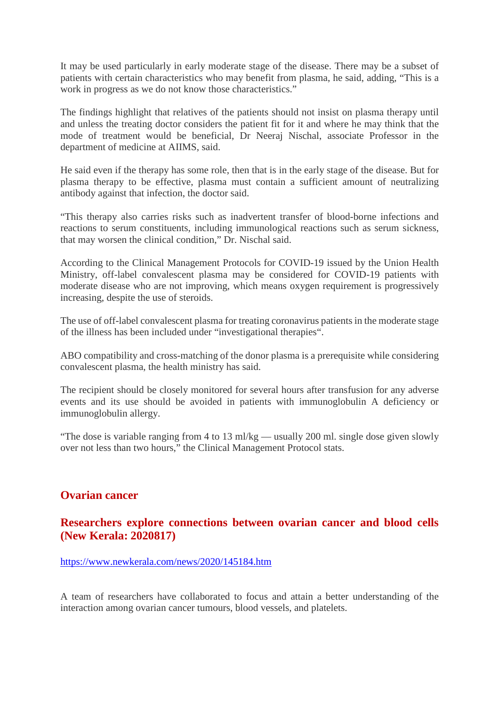It may be used particularly in early moderate stage of the disease. There may be a subset of patients with certain characteristics who may benefit from plasma, he said, adding, "This is a work in progress as we do not know those characteristics."

The findings highlight that relatives of the patients should not insist on plasma therapy until and unless the treating doctor considers the patient fit for it and where he may think that the mode of treatment would be beneficial, Dr Neeraj Nischal, associate Professor in the department of medicine at AIIMS, said.

He said even if the therapy has some role, then that is in the early stage of the disease. But for plasma therapy to be effective, plasma must contain a sufficient amount of neutralizing antibody against that infection, the doctor said.

"This therapy also carries risks such as inadvertent transfer of blood-borne infections and reactions to serum constituents, including immunological reactions such as serum sickness, that may worsen the clinical condition," Dr. Nischal said.

According to the Clinical Management Protocols for COVID-19 issued by the Union Health Ministry, off-label convalescent plasma may be considered for COVID-19 patients with moderate disease who are not improving, which means oxygen requirement is progressively increasing, despite the use of steroids.

The use of off-label convalescent plasma for treating coronavirus patients in the moderate stage of the illness has been included under "investigational therapies".

ABO compatibility and cross-matching of the donor plasma is a prerequisite while considering convalescent plasma, the health ministry has said.

The recipient should be closely monitored for several hours after transfusion for any adverse events and its use should be avoided in patients with immunoglobulin A deficiency or immunoglobulin allergy.

"The dose is variable ranging from 4 to 13 ml/kg — usually 200 ml. single dose given slowly over not less than two hours," the Clinical Management Protocol stats.

# **Ovarian cancer**

# **Researchers explore connections between ovarian cancer and blood cells (New Kerala: 2020817)**

#### https://www.newkerala.com/news/2020/145184.htm

A team of researchers have collaborated to focus and attain a better understanding of the interaction among ovarian cancer tumours, blood vessels, and platelets.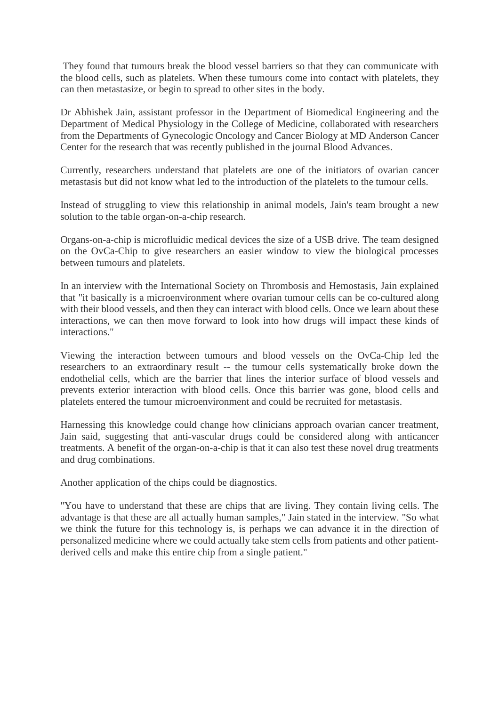They found that tumours break the blood vessel barriers so that they can communicate with the blood cells, such as platelets. When these tumours come into contact with platelets, they can then metastasize, or begin to spread to other sites in the body.

Dr Abhishek Jain, assistant professor in the Department of Biomedical Engineering and the Department of Medical Physiology in the College of Medicine, collaborated with researchers from the Departments of Gynecologic Oncology and Cancer Biology at MD Anderson Cancer Center for the research that was recently published in the journal Blood Advances.

Currently, researchers understand that platelets are one of the initiators of ovarian cancer metastasis but did not know what led to the introduction of the platelets to the tumour cells.

Instead of struggling to view this relationship in animal models, Jain's team brought a new solution to the table organ-on-a-chip research.

Organs-on-a-chip is microfluidic medical devices the size of a USB drive. The team designed on the OvCa-Chip to give researchers an easier window to view the biological processes between tumours and platelets.

In an interview with the International Society on Thrombosis and Hemostasis, Jain explained that "it basically is a microenvironment where ovarian tumour cells can be co-cultured along with their blood vessels, and then they can interact with blood cells. Once we learn about these interactions, we can then move forward to look into how drugs will impact these kinds of interactions."

Viewing the interaction between tumours and blood vessels on the OvCa-Chip led the researchers to an extraordinary result -- the tumour cells systematically broke down the endothelial cells, which are the barrier that lines the interior surface of blood vessels and prevents exterior interaction with blood cells. Once this barrier was gone, blood cells and platelets entered the tumour microenvironment and could be recruited for metastasis.

Harnessing this knowledge could change how clinicians approach ovarian cancer treatment, Jain said, suggesting that anti-vascular drugs could be considered along with anticancer treatments. A benefit of the organ-on-a-chip is that it can also test these novel drug treatments and drug combinations.

Another application of the chips could be diagnostics.

"You have to understand that these are chips that are living. They contain living cells. The advantage is that these are all actually human samples," Jain stated in the interview. "So what we think the future for this technology is, is perhaps we can advance it in the direction of personalized medicine where we could actually take stem cells from patients and other patientderived cells and make this entire chip from a single patient."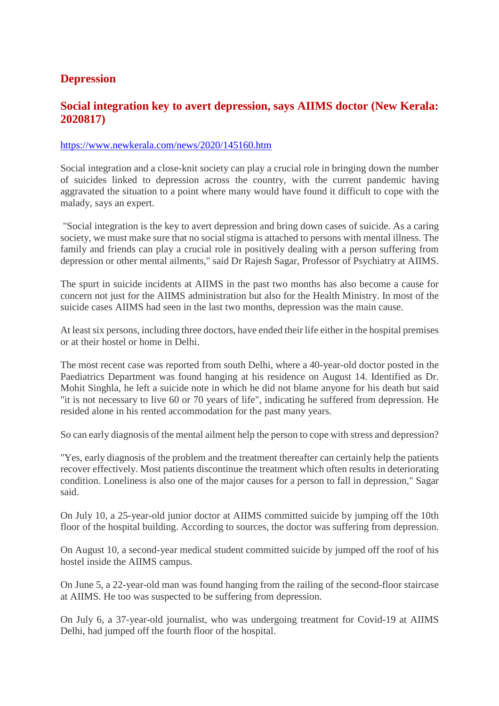# **Depression**

# **Social integration key to avert depression, says AIIMS doctor (New Kerala: 2020817)**

#### https://www.newkerala.com/news/2020/145160.htm

Social integration and a close-knit society can play a crucial role in bringing down the number of suicides linked to depression across the country, with the current pandemic having aggravated the situation to a point where many would have found it difficult to cope with the malady, says an expert.

"Social integration is the key to avert depression and bring down cases of suicide. As a caring society, we must make sure that no social stigma is attached to persons with mental illness. The family and friends can play a crucial role in positively dealing with a person suffering from depression or other mental ailments," said Dr Rajesh Sagar, Professor of Psychiatry at AIIMS.

The spurt in suicide incidents at AIIMS in the past two months has also become a cause for concern not just for the AIIMS administration but also for the Health Ministry. In most of the suicide cases AIIMS had seen in the last two months, depression was the main cause.

At least six persons, including three doctors, have ended their life either in the hospital premises or at their hostel or home in Delhi.

The most recent case was reported from south Delhi, where a 40-year-old doctor posted in the Paediatrics Department was found hanging at his residence on August 14. Identified as Dr. Mohit Singhla, he left a suicide note in which he did not blame anyone for his death but said "it is not necessary to live 60 or 70 years of life", indicating he suffered from depression. He resided alone in his rented accommodation for the past many years.

So can early diagnosis of the mental ailment help the person to cope with stress and depression?

"Yes, early diagnosis of the problem and the treatment thereafter can certainly help the patients recover effectively. Most patients discontinue the treatment which often results in deteriorating condition. Loneliness is also one of the major causes for a person to fall in depression," Sagar said.

On July 10, a 25-year-old junior doctor at AIIMS committed suicide by jumping off the 10th floor of the hospital building. According to sources, the doctor was suffering from depression.

On August 10, a second-year medical student committed suicide by jumped off the roof of his hostel inside the AIIMS campus.

On June 5, a 22-year-old man was found hanging from the railing of the second-floor staircase at AIIMS. He too was suspected to be suffering from depression.

On July 6, a 37-year-old journalist, who was undergoing treatment for Covid-19 at AIIMS Delhi, had jumped off the fourth floor of the hospital.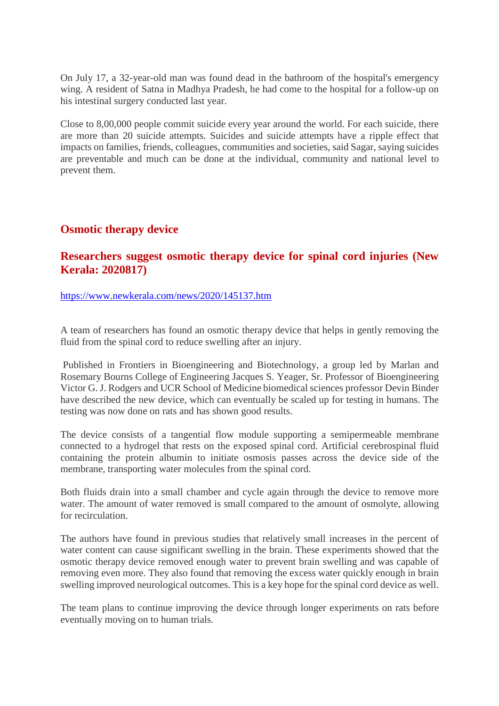On July 17, a 32-year-old man was found dead in the bathroom of the hospital's emergency wing. A resident of Satna in Madhya Pradesh, he had come to the hospital for a follow-up on his intestinal surgery conducted last year.

Close to 8,00,000 people commit suicide every year around the world. For each suicide, there are more than 20 suicide attempts. Suicides and suicide attempts have a ripple effect that impacts on families, friends, colleagues, communities and societies, said Sagar, saying suicides are preventable and much can be done at the individual, community and national level to prevent them.

# **Osmotic therapy device**

# **Researchers suggest osmotic therapy device for spinal cord injuries (New Kerala: 2020817)**

https://www.newkerala.com/news/2020/145137.htm

A team of researchers has found an osmotic therapy device that helps in gently removing the fluid from the spinal cord to reduce swelling after an injury.

Published in Frontiers in Bioengineering and Biotechnology, a group led by Marlan and Rosemary Bourns College of Engineering Jacques S. Yeager, Sr. Professor of Bioengineering Victor G. J. Rodgers and UCR School of Medicine biomedical sciences professor Devin Binder have described the new device, which can eventually be scaled up for testing in humans. The testing was now done on rats and has shown good results.

The device consists of a tangential flow module supporting a semipermeable membrane connected to a hydrogel that rests on the exposed spinal cord. Artificial cerebrospinal fluid containing the protein albumin to initiate osmosis passes across the device side of the membrane, transporting water molecules from the spinal cord.

Both fluids drain into a small chamber and cycle again through the device to remove more water. The amount of water removed is small compared to the amount of osmolyte, allowing for recirculation.

The authors have found in previous studies that relatively small increases in the percent of water content can cause significant swelling in the brain. These experiments showed that the osmotic therapy device removed enough water to prevent brain swelling and was capable of removing even more. They also found that removing the excess water quickly enough in brain swelling improved neurological outcomes. This is a key hope for the spinal cord device as well.

The team plans to continue improving the device through longer experiments on rats before eventually moving on to human trials.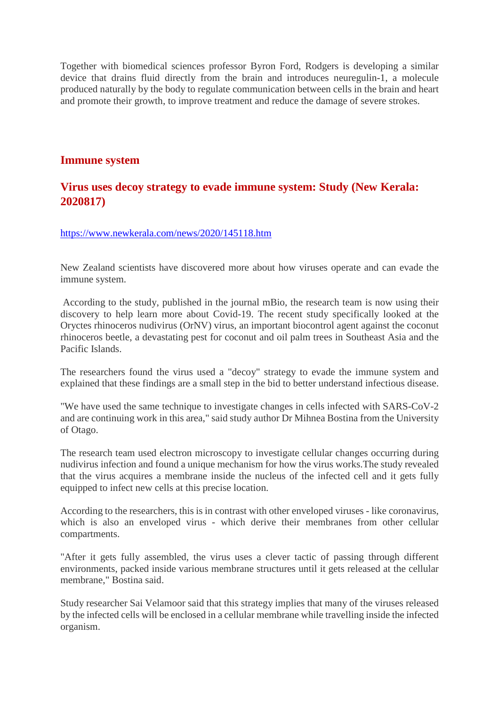Together with biomedical sciences professor Byron Ford, Rodgers is developing a similar device that drains fluid directly from the brain and introduces neuregulin-1, a molecule produced naturally by the body to regulate communication between cells in the brain and heart and promote their growth, to improve treatment and reduce the damage of severe strokes.

### **Immune system**

# **Virus uses decoy strategy to evade immune system: Study (New Kerala: 2020817)**

https://www.newkerala.com/news/2020/145118.htm

New Zealand scientists have discovered more about how viruses operate and can evade the immune system.

According to the study, published in the journal mBio, the research team is now using their discovery to help learn more about Covid-19. The recent study specifically looked at the Oryctes rhinoceros nudivirus (OrNV) virus, an important biocontrol agent against the coconut rhinoceros beetle, a devastating pest for coconut and oil palm trees in Southeast Asia and the Pacific Islands.

The researchers found the virus used a "decoy" strategy to evade the immune system and explained that these findings are a small step in the bid to better understand infectious disease.

"We have used the same technique to investigate changes in cells infected with SARS-CoV-2 and are continuing work in this area," said study author Dr Mihnea Bostina from the University of Otago.

The research team used electron microscopy to investigate cellular changes occurring during nudivirus infection and found a unique mechanism for how the virus works.The study revealed that the virus acquires a membrane inside the nucleus of the infected cell and it gets fully equipped to infect new cells at this precise location.

According to the researchers, this is in contrast with other enveloped viruses - like coronavirus, which is also an enveloped virus - which derive their membranes from other cellular compartments.

"After it gets fully assembled, the virus uses a clever tactic of passing through different environments, packed inside various membrane structures until it gets released at the cellular membrane," Bostina said.

Study researcher Sai Velamoor said that this strategy implies that many of the viruses released by the infected cells will be enclosed in a cellular membrane while travelling inside the infected organism.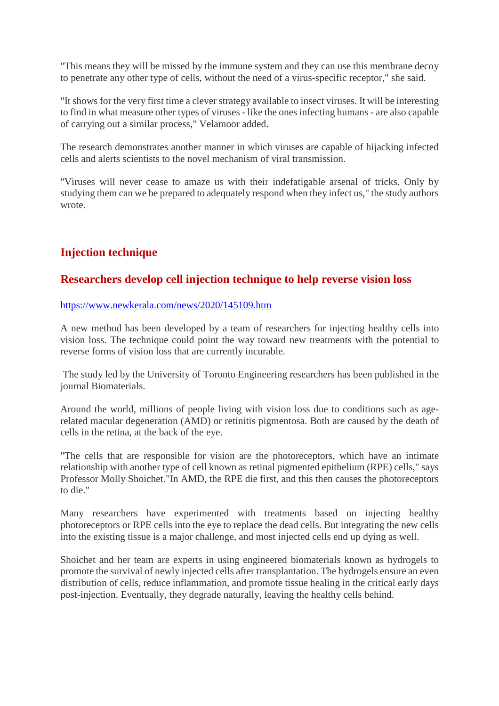"This means they will be missed by the immune system and they can use this membrane decoy to penetrate any other type of cells, without the need of a virus-specific receptor," she said.

"It shows for the very first time a clever strategy available to insect viruses. It will be interesting to find in what measure other types of viruses - like the ones infecting humans - are also capable of carrying out a similar process," Velamoor added.

The research demonstrates another manner in which viruses are capable of hijacking infected cells and alerts scientists to the novel mechanism of viral transmission.

"Viruses will never cease to amaze us with their indefatigable arsenal of tricks. Only by studying them can we be prepared to adequately respond when they infect us," the study authors wrote.

# **Injection technique**

# **Researchers develop cell injection technique to help reverse vision loss**

#### https://www.newkerala.com/news/2020/145109.htm

A new method has been developed by a team of researchers for injecting healthy cells into vision loss. The technique could point the way toward new treatments with the potential to reverse forms of vision loss that are currently incurable.

The study led by the University of Toronto Engineering researchers has been published in the journal Biomaterials.

Around the world, millions of people living with vision loss due to conditions such as agerelated macular degeneration (AMD) or retinitis pigmentosa. Both are caused by the death of cells in the retina, at the back of the eye.

"The cells that are responsible for vision are the photoreceptors, which have an intimate relationship with another type of cell known as retinal pigmented epithelium (RPE) cells," says Professor Molly Shoichet."In AMD, the RPE die first, and this then causes the photoreceptors to die."

Many researchers have experimented with treatments based on injecting healthy photoreceptors or RPE cells into the eye to replace the dead cells. But integrating the new cells into the existing tissue is a major challenge, and most injected cells end up dying as well.

Shoichet and her team are experts in using engineered biomaterials known as hydrogels to promote the survival of newly injected cells after transplantation. The hydrogels ensure an even distribution of cells, reduce inflammation, and promote tissue healing in the critical early days post-injection. Eventually, they degrade naturally, leaving the healthy cells behind.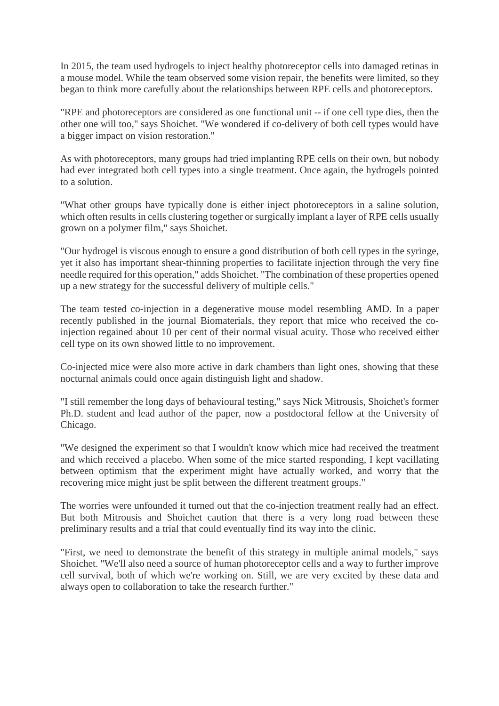In 2015, the team used hydrogels to inject healthy photoreceptor cells into damaged retinas in a mouse model. While the team observed some vision repair, the benefits were limited, so they began to think more carefully about the relationships between RPE cells and photoreceptors.

"RPE and photoreceptors are considered as one functional unit -- if one cell type dies, then the other one will too," says Shoichet. "We wondered if co-delivery of both cell types would have a bigger impact on vision restoration."

As with photoreceptors, many groups had tried implanting RPE cells on their own, but nobody had ever integrated both cell types into a single treatment. Once again, the hydrogels pointed to a solution.

"What other groups have typically done is either inject photoreceptors in a saline solution, which often results in cells clustering together or surgically implant a layer of RPE cells usually grown on a polymer film," says Shoichet.

"Our hydrogel is viscous enough to ensure a good distribution of both cell types in the syringe, yet it also has important shear-thinning properties to facilitate injection through the very fine needle required for this operation," adds Shoichet. "The combination of these properties opened up a new strategy for the successful delivery of multiple cells."

The team tested co-injection in a degenerative mouse model resembling AMD. In a paper recently published in the journal Biomaterials, they report that mice who received the coinjection regained about 10 per cent of their normal visual acuity. Those who received either cell type on its own showed little to no improvement.

Co-injected mice were also more active in dark chambers than light ones, showing that these nocturnal animals could once again distinguish light and shadow.

"I still remember the long days of behavioural testing," says Nick Mitrousis, Shoichet's former Ph.D. student and lead author of the paper, now a postdoctoral fellow at the University of Chicago.

"We designed the experiment so that I wouldn't know which mice had received the treatment and which received a placebo. When some of the mice started responding, I kept vacillating between optimism that the experiment might have actually worked, and worry that the recovering mice might just be split between the different treatment groups."

The worries were unfounded it turned out that the co-injection treatment really had an effect. But both Mitrousis and Shoichet caution that there is a very long road between these preliminary results and a trial that could eventually find its way into the clinic.

"First, we need to demonstrate the benefit of this strategy in multiple animal models," says Shoichet. "We'll also need a source of human photoreceptor cells and a way to further improve cell survival, both of which we're working on. Still, we are very excited by these data and always open to collaboration to take the research further."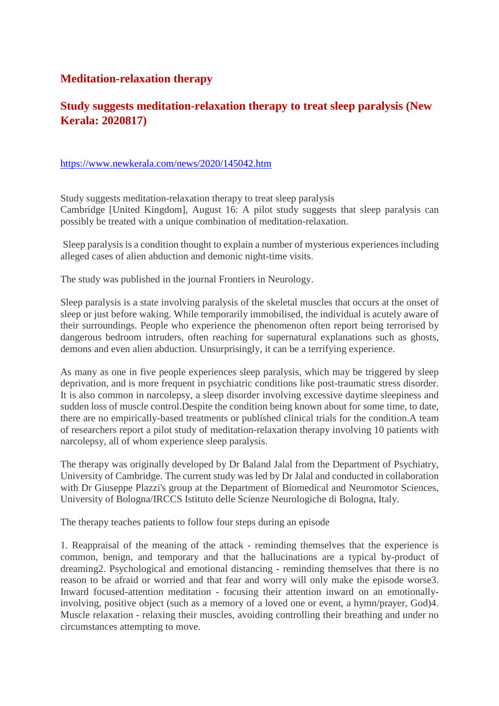# **Meditation-relaxation therapy**

# **Study suggests meditation-relaxation therapy to treat sleep paralysis (New Kerala: 2020817)**

#### https://www.newkerala.com/news/2020/145042.htm

Study suggests meditation-relaxation therapy to treat sleep paralysis Cambridge [United Kingdom], August 16: A pilot study suggests that sleep paralysis can possibly be treated with a unique combination of meditation-relaxation.

Sleep paralysis is a condition thought to explain a number of mysterious experiences including alleged cases of alien abduction and demonic night-time visits.

The study was published in the journal Frontiers in Neurology.

Sleep paralysis is a state involving paralysis of the skeletal muscles that occurs at the onset of sleep or just before waking. While temporarily immobilised, the individual is acutely aware of their surroundings. People who experience the phenomenon often report being terrorised by dangerous bedroom intruders, often reaching for supernatural explanations such as ghosts, demons and even alien abduction. Unsurprisingly, it can be a terrifying experience.

As many as one in five people experiences sleep paralysis, which may be triggered by sleep deprivation, and is more frequent in psychiatric conditions like post-traumatic stress disorder. It is also common in narcolepsy, a sleep disorder involving excessive daytime sleepiness and sudden loss of muscle control.Despite the condition being known about for some time, to date, there are no empirically-based treatments or published clinical trials for the condition.A team of researchers report a pilot study of meditation-relaxation therapy involving 10 patients with narcolepsy, all of whom experience sleep paralysis.

The therapy was originally developed by Dr Baland Jalal from the Department of Psychiatry, University of Cambridge. The current study was led by Dr Jalal and conducted in collaboration with Dr Giuseppe Plazzi's group at the Department of Biomedical and Neuromotor Sciences, University of Bologna/IRCCS Istituto delle Scienze Neurologiche di Bologna, Italy.

The therapy teaches patients to follow four steps during an episode

1. Reappraisal of the meaning of the attack - reminding themselves that the experience is common, benign, and temporary and that the hallucinations are a typical by-product of dreaming2. Psychological and emotional distancing - reminding themselves that there is no reason to be afraid or worried and that fear and worry will only make the episode worse3. Inward focused-attention meditation - focusing their attention inward on an emotionallyinvolving, positive object (such as a memory of a loved one or event, a hymn/prayer, God)4. Muscle relaxation - relaxing their muscles, avoiding controlling their breathing and under no circumstances attempting to move.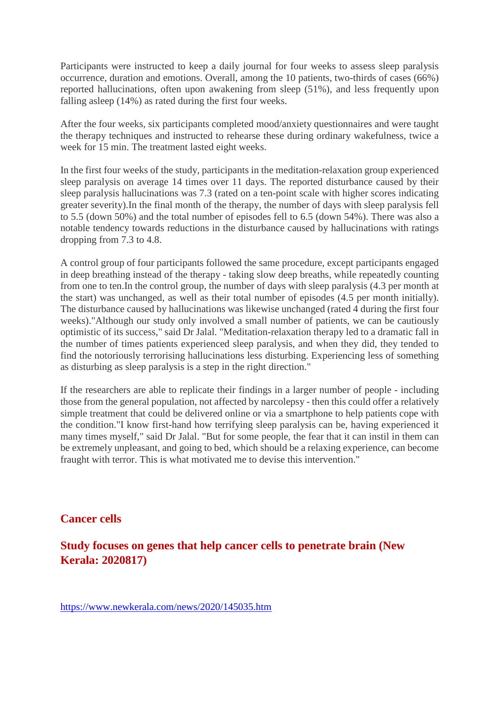Participants were instructed to keep a daily journal for four weeks to assess sleep paralysis occurrence, duration and emotions. Overall, among the 10 patients, two-thirds of cases (66%) reported hallucinations, often upon awakening from sleep (51%), and less frequently upon falling asleep (14%) as rated during the first four weeks.

After the four weeks, six participants completed mood/anxiety questionnaires and were taught the therapy techniques and instructed to rehearse these during ordinary wakefulness, twice a week for 15 min. The treatment lasted eight weeks.

In the first four weeks of the study, participants in the meditation-relaxation group experienced sleep paralysis on average 14 times over 11 days. The reported disturbance caused by their sleep paralysis hallucinations was 7.3 (rated on a ten-point scale with higher scores indicating greater severity).In the final month of the therapy, the number of days with sleep paralysis fell to 5.5 (down 50%) and the total number of episodes fell to 6.5 (down 54%). There was also a notable tendency towards reductions in the disturbance caused by hallucinations with ratings dropping from 7.3 to 4.8.

A control group of four participants followed the same procedure, except participants engaged in deep breathing instead of the therapy - taking slow deep breaths, while repeatedly counting from one to ten.In the control group, the number of days with sleep paralysis (4.3 per month at the start) was unchanged, as well as their total number of episodes (4.5 per month initially). The disturbance caused by hallucinations was likewise unchanged (rated 4 during the first four weeks)."Although our study only involved a small number of patients, we can be cautiously optimistic of its success," said Dr Jalal. "Meditation-relaxation therapy led to a dramatic fall in the number of times patients experienced sleep paralysis, and when they did, they tended to find the notoriously terrorising hallucinations less disturbing. Experiencing less of something as disturbing as sleep paralysis is a step in the right direction."

If the researchers are able to replicate their findings in a larger number of people - including those from the general population, not affected by narcolepsy - then this could offer a relatively simple treatment that could be delivered online or via a smartphone to help patients cope with the condition."I know first-hand how terrifying sleep paralysis can be, having experienced it many times myself," said Dr Jalal. "But for some people, the fear that it can instil in them can be extremely unpleasant, and going to bed, which should be a relaxing experience, can become fraught with terror. This is what motivated me to devise this intervention."

# **Cancer cells**

**Study focuses on genes that help cancer cells to penetrate brain (New Kerala: 2020817)**

https://www.newkerala.com/news/2020/145035.htm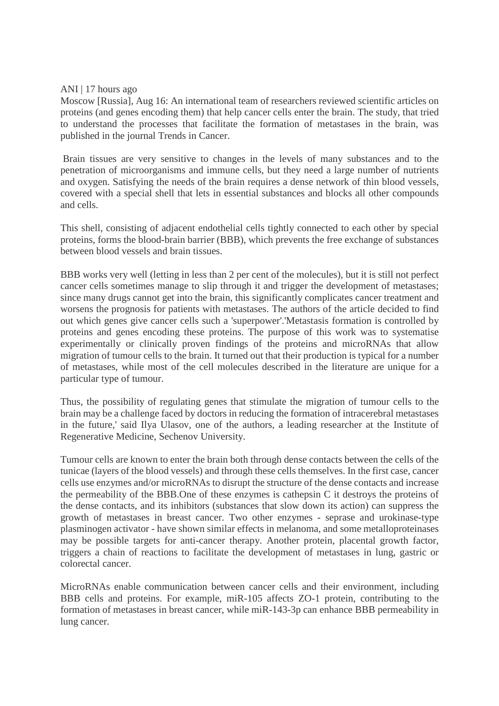#### ANI | 17 hours ago

Moscow [Russia], Aug 16: An international team of researchers reviewed scientific articles on proteins (and genes encoding them) that help cancer cells enter the brain. The study, that tried to understand the processes that facilitate the formation of metastases in the brain, was published in the journal Trends in Cancer.

Brain tissues are very sensitive to changes in the levels of many substances and to the penetration of microorganisms and immune cells, but they need a large number of nutrients and oxygen. Satisfying the needs of the brain requires a dense network of thin blood vessels, covered with a special shell that lets in essential substances and blocks all other compounds and cells.

This shell, consisting of adjacent endothelial cells tightly connected to each other by special proteins, forms the blood-brain barrier (BBB), which prevents the free exchange of substances between blood vessels and brain tissues.

BBB works very well (letting in less than 2 per cent of the molecules), but it is still not perfect cancer cells sometimes manage to slip through it and trigger the development of metastases; since many drugs cannot get into the brain, this significantly complicates cancer treatment and worsens the prognosis for patients with metastases. The authors of the article decided to find out which genes give cancer cells such a 'superpower'.'Metastasis formation is controlled by proteins and genes encoding these proteins. The purpose of this work was to systematise experimentally or clinically proven findings of the proteins and microRNAs that allow migration of tumour cells to the brain. It turned out that their production is typical for a number of metastases, while most of the cell molecules described in the literature are unique for a particular type of tumour.

Thus, the possibility of regulating genes that stimulate the migration of tumour cells to the brain may be a challenge faced by doctors in reducing the formation of intracerebral metastases in the future,' said Ilya Ulasov, one of the authors, a leading researcher at the Institute of Regenerative Medicine, Sechenov University.

Tumour cells are known to enter the brain both through dense contacts between the cells of the tunicae (layers of the blood vessels) and through these cells themselves. In the first case, cancer cells use enzymes and/or microRNAs to disrupt the structure of the dense contacts and increase the permeability of the BBB.One of these enzymes is cathepsin C it destroys the proteins of the dense contacts, and its inhibitors (substances that slow down its action) can suppress the growth of metastases in breast cancer. Two other enzymes - seprase and urokinase-type plasminogen activator - have shown similar effects in melanoma, and some metalloproteinases may be possible targets for anti-cancer therapy. Another protein, placental growth factor, triggers a chain of reactions to facilitate the development of metastases in lung, gastric or colorectal cancer.

MicroRNAs enable communication between cancer cells and their environment, including BBB cells and proteins. For example, miR-105 affects ZO-1 protein, contributing to the formation of metastases in breast cancer, while miR-143-3p can enhance BBB permeability in lung cancer.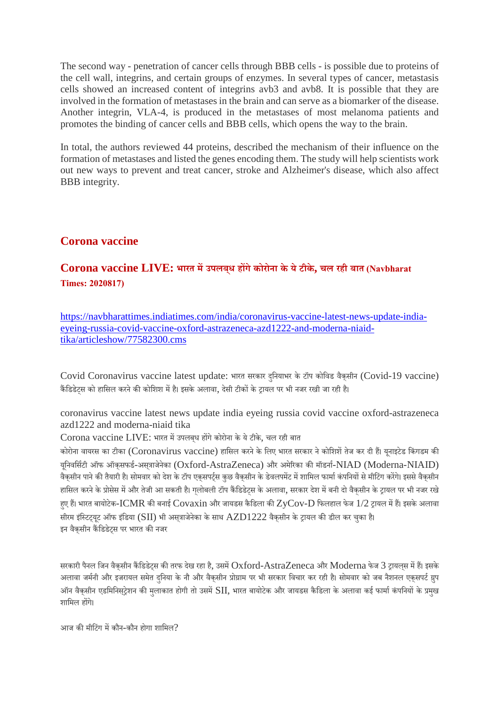The second way - penetration of cancer cells through BBB cells - is possible due to proteins of the cell wall, integrins, and certain groups of enzymes. In several types of cancer, metastasis cells showed an increased content of integrins avb3 and avb8. It is possible that they are involved in the formation of metastases in the brain and can serve as a biomarker of the disease. Another integrin, VLA-4, is produced in the metastases of most melanoma patients and promotes the binding of cancer cells and BBB cells, which opens the way to the brain.

In total, the authors reviewed 44 proteins, described the mechanism of their influence on the formation of metastases and listed the genes encoding them. The study will help scientists work out new ways to prevent and treat cancer, stroke and Alzheimer's disease, which also affect BBB integrity.

# **Corona vaccine**

# **Corona vaccine LIVE: भारत मउपलबध् हगेकोरोना के येटीके, चल रही बात (Navbharat Times: 2020817)**

https://navbharattimes.indiatimes.com/india/coronavirus-vaccine-latest-news-update-indiaeyeing-russia-covid-vaccine-oxford-astrazeneca-azd1222-and-moderna-niaidtika/articleshow/77582300.cms

Covid Coronavirus vaccine latest update: भारत सरकार दिुनयाभर केटॉप कोिवड वैक्सीन (Covid-19 vaccine) कैंडिडेट्स को हासिल करने की कोशिश में है। इसके अलावा, देसी टीकों के ट्रायल पर भी नजर रखी जा रही है।

coronavirus vaccine latest news update india eyeing russia covid vaccine oxford-astrazeneca azd1222 and moderna-niaid tika

Corona vaccine LIVE: भारत में उपलबध होंगे कोरोना के ये टीके, चल रही बात

कोरोना वायरस का टीका (Coronavirus vaccine) हासिल करने के लिए भारत सरकार ने कोशिशें तेज कर दी हैं। यूनाइटेड किंगडम की यनिवर्सिटी ऑफ ऑकसफर्ड-असत्राजेनेका (Oxford-AstraZeneca) और अमेरिका की मॉडर्ना-NIAD (Moderna-NIAID) वैकसीन पाने की तैयारी है। सोमवार को देश के टॉप एक्सपर्ट्स कुछ वैकसीन के डेवलपमेंट में शामिल फार्मा कंपनियों से मीटिंग करेंगे। इससे वैकसीन हासिल करने के प्रोसेस में और तेजी आ सकती है। गलोबली टॉप कैंडिडेटस के अलावा, सरकार देश में बनी दो वैकसीन के ट्रायल पर भी नजर रखे हए हैं। भारत बायोटेक-ICMR की बनाई  $\rm Covax$ in और जायडस कैडिला की  $\rm ZyCov\text{-}D$  फिलहाल फेज  $1/2$  टायल में हैं। इसके अलावा सीरम इंस्टिट्यूट ऑफ इंडिया (SII) भी अस्**त्राजेनेका के साथ AZD1222 वैक्**सीन के ट्रायल की डील कर चुका है। इन वैकसीन कैंडिडेटस पर भारत की नजर

सरकारी पैनल जिन वैकसीन कैंडिडेटस की तरफ देख रहा है, उसमें  $Oxford-AstraZeneca$  और  $Moderna$  फेज 3 ट्रायलस में हैं। इसके अलावा जर्मनी और इजरायल समेत दनिया के नौ और वैकसीन प्रोग्राम पर भी सरकार विचार कर रही है। सोमवार को जब नैशनल एकसपर्ट ग्रुप ऑन वैक्सीन एडमिनिस्ट्रेशन की मुलाकात होगी तो उसमें SII, भारत बायोटेक और जायडस कैडिला के अलावा कई फार्मा कंपनियों के प्रमुख शािमल हगे।

आज की मीटिंग में कौन-कौन होगा शामिल $\Omega$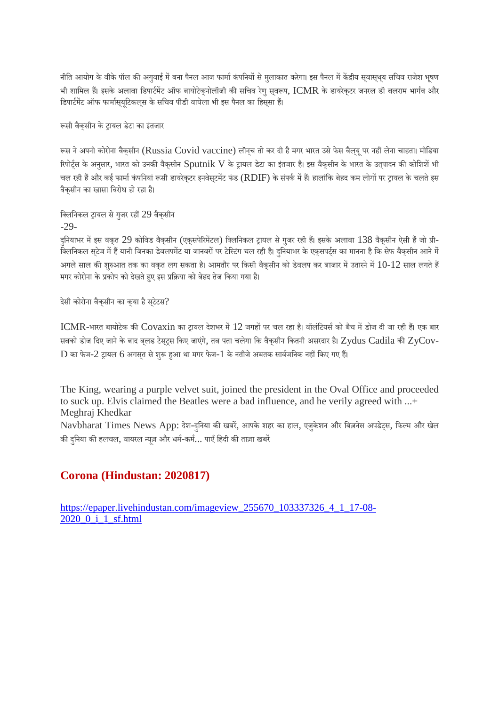नीति आयोग के वीके पॉल की अगुवाई में बना पैनल आज फार्मा कंपनियों से मुलाकात करेगा। इस पैनल में केंद्रीय सवास्थ्य सचिव राजेश भूषण भी शामिल हैं। इसके अलावा डिपार्टमेंट ऑफ बायोटेकनोलॉजी की सचिव रेण सवरूप,  $\rm ICMR$  के डायरेकटर जनरल डॉ बलराम भार्गव और डिपार्टमेंट ऑफ फार्मास्यूटिकलस के सचिव पीडी वाघेला भी इस पैनल का हिस्सा हैं।

रूसी वैकसीन के ट्रायल डेटा का इंतजार

रूस ने अपनी कोरोना वैकुसीन (Russia Covid vaccine) लॉनच तो कर दी है मगर भारत उसे फेस वैलयू पर नहीं लेना चाहता। मीडिया रिपोर्ट्स के अनुसार, भारत को उनकी वैकसीन Sputnik V के ट्रायल डेटा का इंतजार है। इस वैकसीन के भारत के उतुपादन की कोशिशें भी चल रही हैं और कई फार्मा कंपनियां रूसी डायरेक्टर इनवेस्टमेंट फंड (RDIF) के संपर्क में हैं। हालांकि बेहद कम लोगों पर ट्रायल के चलते इस वैक्सीन का खासा िवरोध हो रहा ह।ै

क्लिनिकल ट्रायल से गुजर रहीं 29 वैकुसीन

 $-29-$ 

दनियाभर में इस वकत 29 कोविड वैकसीन (एक्सपेरिमेंटल) क्लिनिकल ट्रायल से गुजर रही हैं। इसके अलावा 138 वैकसीन ऐसी हैं जो प्री-.<br>क्लिनिकल स्टेज में हैं यानी जिनका डेवलपमेंट या जानवरों पर टेस्टिंग चल रही है। दनियाभर के एक्सपर्ट्स का मानना है कि सेफ वैक्सीन आने में अगले साल की शुरुआत तक का वकत लग सकता है। आमतौर पर किसी वैकसीन को डेवलप कर बाजार में उतारने में  $10$ - $12$  साल लगते हैं मगर कोरोना के प्रकोप को देखते हुए इस प्रक्रिया को बेहद तेज किया गया है।

देसी कोरोना वैकसीन का क्या है स्टेटस?

ICMR-भारत बायोटेक की Covaxin का ट्रायल देशभर में 12 जगहों पर चल रहा है। वॉलंटियर्स को बैच में डोज दी जा रही हैं। एक बार सबको डोज दिए जाने के बाद ब्लड टेस्ट्स किए जाएंगे, तब पता चलेगा कि वैक्सीन कितनी असरदार है। Zydus Cadila की ZyCov- ${\rm D}$  का फेज- $2$  ट्रायल  $6$  अगसृत से शुरू हुआ था मगर फेज- $1$  के नतीजे अबतक सार्वजनिक नहीं किए गए हैं।

The King, wearing a purple velvet suit, joined the president in the Oval Office and proceeded to suck up. Elvis claimed the Beatles were a bad influence, and he verily agreed with ...+ Meghraj Khedkar

Navbharat Times News App: देश-दुनिया की खबरें, आपके शहर का हाल, एजुकेशन और बिज़नेस अपडेट्स, फिल्म और खेल की दुनिया की हलचल, वायरल न्यूज़ और धर्म-कर्म... पाएँ हिंदी की ताज़ा खबरें

# **Corona (Hindustan: 2020817)**

https://epaper.livehindustan.com/imageview\_255670\_103337326\_4\_1\_17-08- 2020\_0\_i\_1\_sf.html